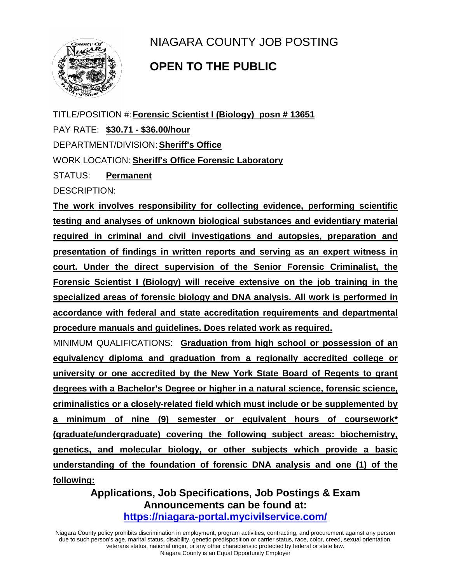

NIAGARA COUNTY JOB POSTING

## **OPEN TO THE PUBLIC**

TITLE/POSITION #:**Forensic Scientist I (Biology) posn # 13651**

PAY RATE: **\$30.71 - \$36.00/hour** 

DEPARTMENT/DIVISION:**Sheriff's Office**

WORK LOCATION: **Sheriff's Office Forensic Laboratory**

STATUS: **Permanent**

DESCRIPTION:

**The work involves responsibility for collecting evidence, performing scientific testing and analyses of unknown biological substances and evidentiary material required in criminal and civil investigations and autopsies, preparation and presentation of findings in written reports and serving as an expert witness in court. Under the direct supervision of the Senior Forensic Criminalist, the Forensic Scientist I (Biology) will receive extensive on the job training in the specialized areas of forensic biology and DNA analysis. All work is performed in accordance with federal and state accreditation requirements and departmental procedure manuals and guidelines. Does related work as required.**

MINIMUM QUALIFICATIONS: **Graduation from high school or possession of an equivalency diploma and graduation from a regionally accredited college or university or one accredited by the New York State Board of Regents to grant degrees with a Bachelor's Degree or higher in a natural science, forensic science, criminalistics or a closely-related field which must include or be supplemented by a minimum of nine (9) semester or equivalent hours of coursework\* (graduate/undergraduate) covering the following subject areas: biochemistry, genetics, and molecular biology, or other subjects which provide a basic understanding of the foundation of forensic DNA analysis and one (1) of the following:**

> **Applications, Job Specifications, Job Postings & Exam Announcements can be found at: <https://niagara-portal.mycivilservice.com/>**

Niagara County policy prohibits discrimination in employment, program activities, contracting, and procurement against any person due to such person's age, marital status, disability, genetic predisposition or carrier status, race, color, creed, sexual orientation, veterans status, national origin, or any other characteristic protected by federal or state law. Niagara County is an Equal Opportunity Employer